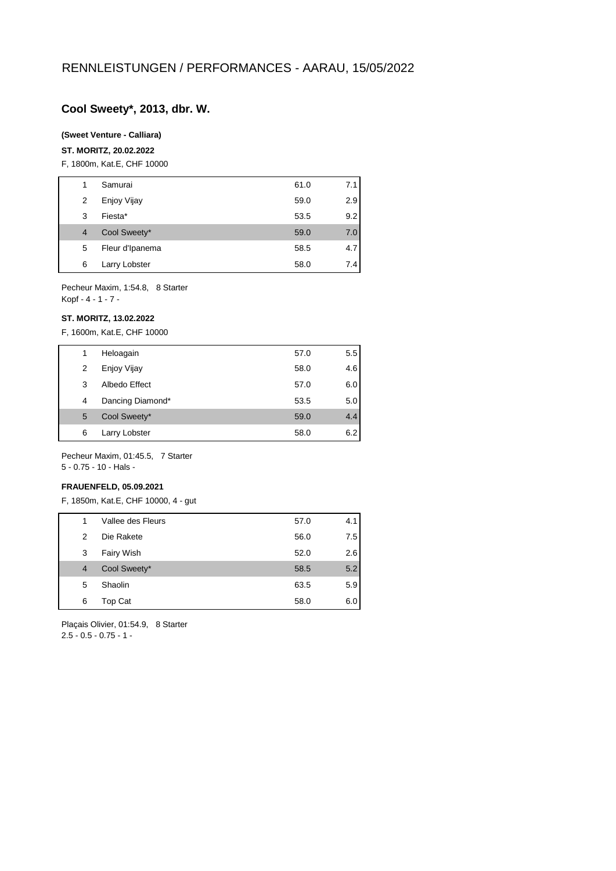## **Cool Sweety\*, 2013, dbr. W.**

## **(Sweet Venture - Calliara)**

#### **ST. MORITZ, 20.02.2022**

F, 1800m, Kat.E, CHF 10000

|                | Samurai         | 61.0 | 7.11             |
|----------------|-----------------|------|------------------|
| 2              | Enjoy Vijay     | 59.0 | 2.9              |
| 3              | Fiesta*         | 53.5 | 9.2              |
| $\overline{4}$ | Cool Sweety*    | 59.0 | 7.0              |
| 5              | Fleur d'Ipanema | 58.5 | 4.7 <sub>l</sub> |
| 6              | Larry Lobster   | 58.0 | 7.4              |

Pecheur Maxim, 1:54.8, 8 Starter Kopf - 4 - 1 - 7 -

#### **ST. MORITZ, 13.02.2022**

F, 1600m, Kat.E, CHF 10000

| 1 | Heloagain        | 57.0 | 5.5 |
|---|------------------|------|-----|
| 2 | Enjoy Vijay      | 58.0 | 4.6 |
| 3 | Albedo Effect    | 57.0 | 6.0 |
| 4 | Dancing Diamond* | 53.5 | 5.0 |
| 5 | Cool Sweety*     | 59.0 | 4.4 |
| 6 | Larry Lobster    | 58.0 | 6.2 |
|   |                  |      |     |

Pecheur Maxim, 01:45.5, 7 Starter 5 - 0.75 - 10 - Hals -

#### **FRAUENFELD, 05.09.2021**

F, 1850m, Kat.E, CHF 10000, 4 - gut

| 1 | Vallee des Fleurs | 57.0 | 4.1 |
|---|-------------------|------|-----|
| 2 | Die Rakete        | 56.0 | 7.5 |
| 3 | Fairy Wish        | 52.0 | 2.6 |
| 4 | Cool Sweety*      | 58.5 | 5.2 |
| 5 | Shaolin           | 63.5 | 5.9 |
| 6 | Top Cat           | 58.0 | 6.0 |
|   |                   |      |     |

Plaçais Olivier, 01:54.9, 8 Starter 2.5 - 0.5 - 0.75 - 1 -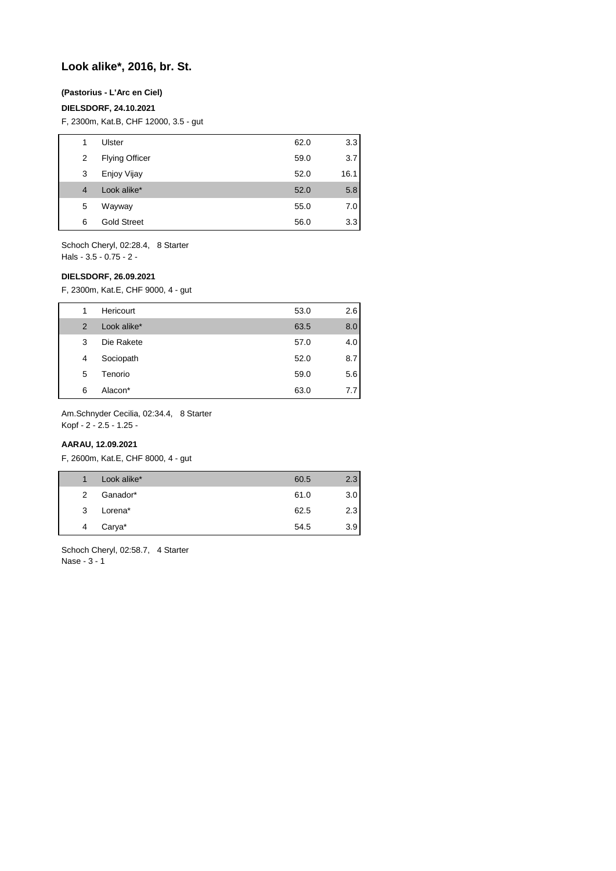# **Look alike\*, 2016, br. St.**

## **(Pastorius - L'Arc en Ciel)**

## **DIELSDORF, 24.10.2021**

F, 2300m, Kat.B, CHF 12000, 3.5 - gut

| 1 | Ulster                | 62.0 | 3.3  |
|---|-----------------------|------|------|
| 2 | <b>Flying Officer</b> | 59.0 | 3.7  |
| 3 | Enjoy Vijay           | 52.0 | 16.1 |
| 4 | Look alike*           | 52.0 | 5.8  |
| 5 | Wayway                | 55.0 | 7.0  |
| 6 | <b>Gold Street</b>    | 56.0 | 3.3  |

Schoch Cheryl, 02:28.4, 8 Starter Hals - 3.5 - 0.75 - 2 -

#### **DIELSDORF, 26.09.2021**

F, 2300m, Kat.E, CHF 9000, 4 - gut

| 1             | Hericourt   | 53.0 | 2.6 |
|---------------|-------------|------|-----|
| $\mathcal{P}$ | Look alike* | 63.5 | 8.0 |
| 3             | Die Rakete  | 57.0 | 4.0 |
| 4             | Sociopath   | 52.0 | 8.7 |
| 5             | Tenorio     | 59.0 | 5.6 |
| 6             | Alacon*     | 63.0 | 7.7 |

Am.Schnyder Cecilia, 02:34.4, 8 Starter

Kopf - 2 - 2.5 - 1.25 -

### **AARAU, 12.09.2021**

F, 2600m, Kat.E, CHF 8000, 4 - gut

| 1 | Look alike* | 60.5 | 2.3 |
|---|-------------|------|-----|
| 2 | Ganador*    | 61.0 | 3.0 |
| 3 | Lorena*     | 62.5 | 2.3 |
| 4 | Carya*      | 54.5 | 3.9 |
|   |             |      |     |

Schoch Cheryl, 02:58.7, 4 Starter Nase - 3 - 1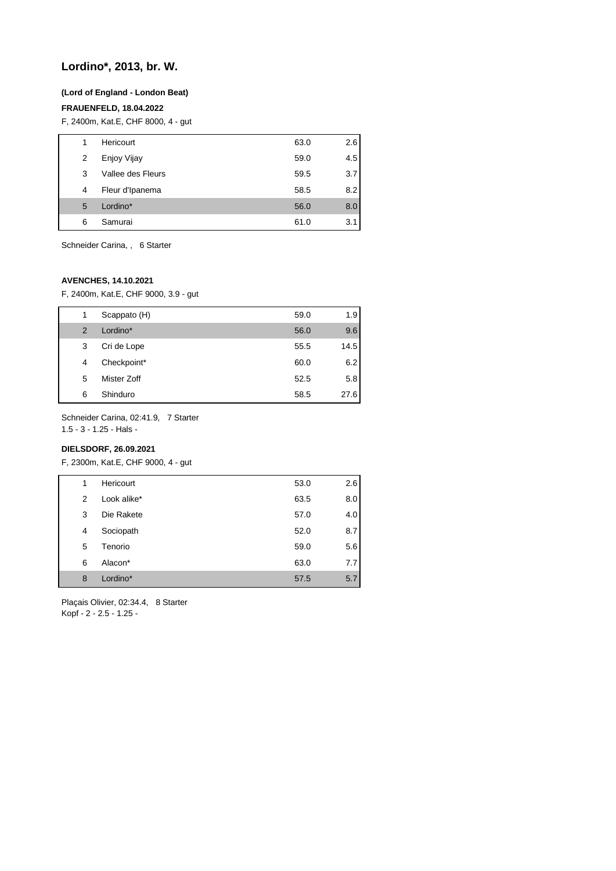# **Lordino\*, 2013, br. W.**

#### **(Lord of England - London Beat)**

#### **FRAUENFELD, 18.04.2022**

F, 2400m, Kat.E, CHF 8000, 4 - gut

| 1 | Hericourt         | 63.0 | 2.6 |
|---|-------------------|------|-----|
| 2 | Enjoy Vijay       | 59.0 | 4.5 |
| 3 | Vallee des Fleurs | 59.5 | 3.7 |
| 4 | Fleur d'Ipanema   | 58.5 | 8.2 |
| 5 | Lordino*          | 56.0 | 8.0 |
| 6 | Samurai           | 61.0 | 3.1 |

Schneider Carina, , 6 Starter

## **AVENCHES, 14.10.2021**

F, 2400m, Kat.E, CHF 9000, 3.9 - gut

| 1             | Scappato (H) | 59.0 | 1.9  |
|---------------|--------------|------|------|
| $\mathcal{P}$ | Lordino*     | 56.0 | 9.6  |
| 3             | Cri de Lope  | 55.5 | 14.5 |
| 4             | Checkpoint*  | 60.0 | 6.2  |
| 5             | Mister Zoff  | 52.5 | 5.8  |
| 6             | Shinduro     | 58.5 | 27.6 |

Schneider Carina, 02:41.9, 7 Starter

1.5 - 3 - 1.25 - Hals -

## **DIELSDORF, 26.09.2021**

F, 2300m, Kat.E, CHF 9000, 4 - gut

| 1 | Hericourt   | 53.0 | 2.6 |
|---|-------------|------|-----|
| 2 | Look alike* | 63.5 | 8.0 |
| 3 | Die Rakete  | 57.0 | 4.0 |
| 4 | Sociopath   | 52.0 | 8.7 |
| 5 | Tenorio     | 59.0 | 5.6 |
| 6 | Alacon*     | 63.0 | 7.7 |
| 8 | Lordino*    | 57.5 | 5.7 |

Plaçais Olivier, 02:34.4, 8 Starter Kopf - 2 - 2.5 - 1.25 -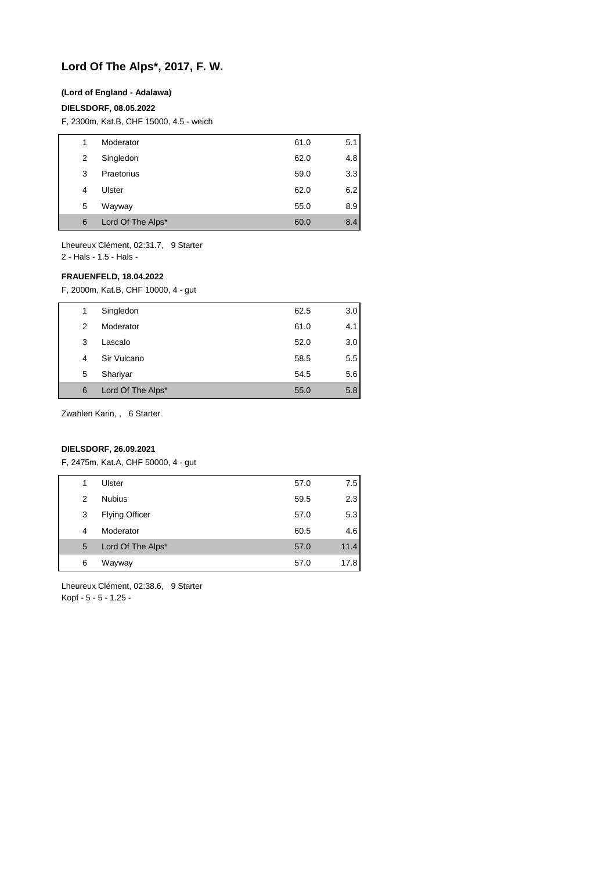# **Lord Of The Alps\*, 2017, F. W.**

#### **(Lord of England - Adalawa)**

#### **DIELSDORF, 08.05.2022**

F, 2300m, Kat.B, CHF 15000, 4.5 - weich

| 1 | Moderator         | 61.0 | 5.1 |
|---|-------------------|------|-----|
| 2 | Singledon         | 62.0 | 4.8 |
| 3 | Praetorius        | 59.0 | 3.3 |
| 4 | Ulster            | 62.0 | 6.2 |
| 5 | Wayway            | 55.0 | 8.9 |
| 6 | Lord Of The Alps* | 60.0 | 8.4 |

Lheureux Clément, 02:31.7, 9 Starter 2 - Hals - 1.5 - Hals -

#### **FRAUENFELD, 18.04.2022**

F, 2000m, Kat.B, CHF 10000, 4 - gut

| 1 | Singledon         | 62.5 | 3.0 |
|---|-------------------|------|-----|
| 2 | Moderator         | 61.0 | 4.1 |
| 3 | Lascalo           | 52.0 | 3.0 |
| 4 | Sir Vulcano       | 58.5 | 5.5 |
| 5 | Shariyar          | 54.5 | 5.6 |
| 6 | Lord Of The Alps* | 55.0 | 5.8 |

Zwahlen Karin, , 6 Starter

## **DIELSDORF, 26.09.2021**

F, 2475m, Kat.A, CHF 50000, 4 - gut

| 1 | Ulster                | 57.0 | 7.5  |
|---|-----------------------|------|------|
| 2 | <b>Nubius</b>         | 59.5 | 2.3  |
| 3 | <b>Flying Officer</b> | 57.0 | 5.3  |
| 4 | Moderator             | 60.5 | 4.6  |
| 5 | Lord Of The Alps*     | 57.0 | 11.4 |
| 6 | Wayway                | 57.0 | 17.8 |

Lheureux Clément, 02:38.6, 9 Starter Kopf - 5 - 5 - 1.25 -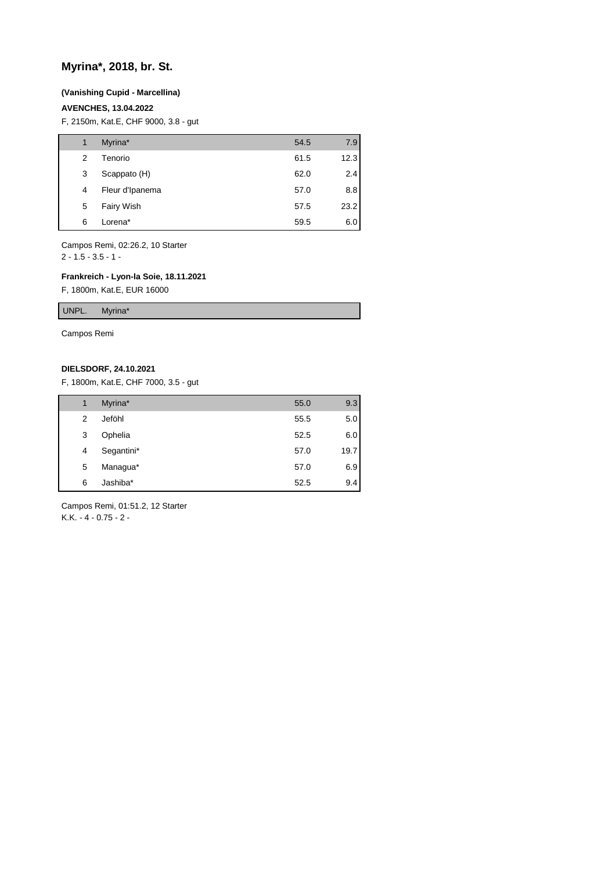## **Myrina\*, 2018, br. St.**

#### **(Vanishing Cupid - Marcellina)**

#### **AVENCHES, 13.04.2022**

F, 2150m, Kat.E, CHF 9000, 3.8 - gut

| 1 | Myrina*         | 54.5 | 7.9  |
|---|-----------------|------|------|
| 2 | Tenorio         | 61.5 | 12.3 |
| 3 | Scappato (H)    | 62.0 | 2.4  |
| 4 | Fleur d'Ipanema | 57.0 | 8.8  |
| 5 | Fairy Wish      | 57.5 | 23.2 |
| 6 | Lorena*         | 59.5 | 6.0  |

Campos Remi, 02:26.2, 10 Starter  $2 - 1.5 - 3.5 - 1 -$ 

## **Frankreich - Lyon-la Soie, 18.11.2021**

F, 1800m, Kat.E, EUR 16000

UNPL. Myrina\*

Campos Remi

### **DIELSDORF, 24.10.2021**

F, 1800m, Kat.E, CHF 7000, 3.5 - gut

| 1 | Myrina*    | 55.0 | 9.3     |
|---|------------|------|---------|
| 2 | Jeföhl     | 55.5 | $5.0\,$ |
| 3 | Ophelia    | 52.5 | 6.0     |
| 4 | Segantini* | 57.0 | 19.7    |
| 5 | Managua*   | 57.0 | 6.9     |
| 6 | Jashiba*   | 52.5 | 9.4     |

Campos Remi, 01:51.2, 12 Starter K.K. - 4 - 0.75 - 2 -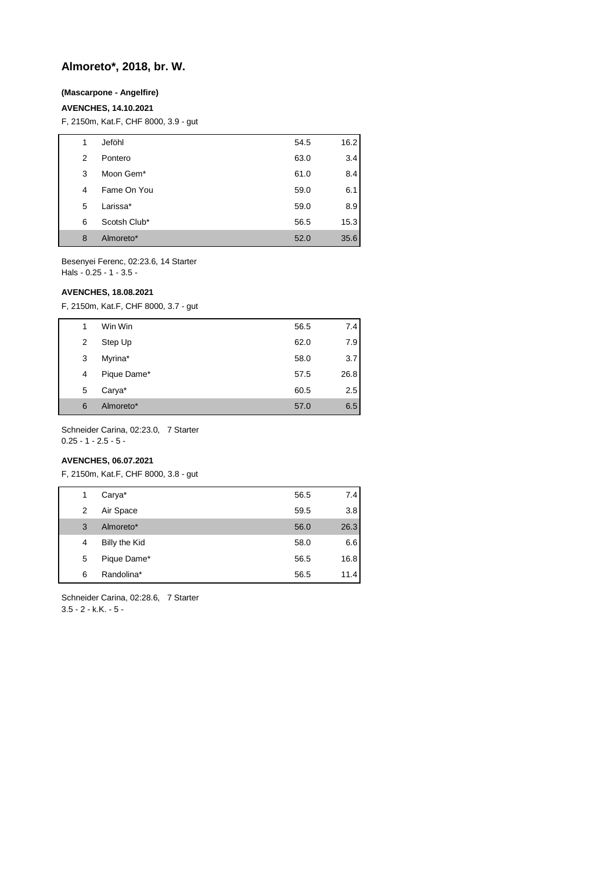# **Almoreto\*, 2018, br. W.**

### **(Mascarpone - Angelfire)**

#### **AVENCHES, 14.10.2021**

F, 2150m, Kat.F, CHF 8000, 3.9 - gut

| 1 | Jeföhl       | 54.5 | 16.2 |
|---|--------------|------|------|
| 2 | Pontero      | 63.0 | 3.4  |
| 3 | Moon Gem*    | 61.0 | 8.4  |
| 4 | Fame On You  | 59.0 | 6.1  |
| 5 | Larissa*     | 59.0 | 8.9  |
| 6 | Scotsh Club* | 56.5 | 15.3 |
| 8 | Almoreto*    | 52.0 | 35.6 |

Besenyei Ferenc, 02:23.6, 14 Starter Hals - 0.25 - 1 - 3.5 -

#### **AVENCHES, 18.08.2021**

F, 2150m, Kat.F, CHF 8000, 3.7 - gut

| 1 |   | Win Win     | 56.5 | 7.4  |
|---|---|-------------|------|------|
|   | 2 | Step Up     | 62.0 | 7.9  |
|   | 3 | Myrina*     | 58.0 | 3.7  |
| 4 |   | Pique Dame* | 57.5 | 26.8 |
|   | 5 | Carya*      | 60.5 | 2.5  |
| 6 |   | Almoreto*   | 57.0 | 6.5  |

Schneider Carina, 02:23.0, 7 Starter 0.25 - 1 - 2.5 - 5 -

## **AVENCHES, 06.07.2021**

F, 2150m, Kat.F, CHF 8000, 3.8 - gut

| 1 | Carya*        | 56.5 | 7.4  |
|---|---------------|------|------|
| 2 | Air Space     | 59.5 | 3.8  |
| 3 | Almoreto*     | 56.0 | 26.3 |
| 4 | Billy the Kid | 58.0 | 6.6  |
| 5 | Pique Dame*   | 56.5 | 16.8 |
| 6 | Randolina*    | 56.5 | 11.4 |

Schneider Carina, 02:28.6, 7 Starter 3.5 - 2 - k.K. - 5 -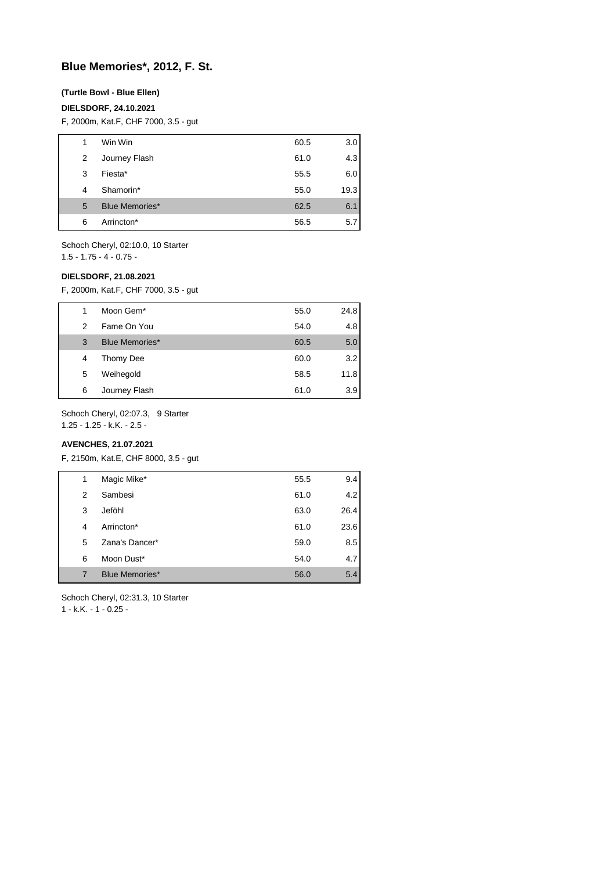# **Blue Memories\*, 2012, F. St.**

#### **(Turtle Bowl - Blue Ellen)**

#### **DIELSDORF, 24.10.2021**

F, 2000m, Kat.F, CHF 7000, 3.5 - gut

| 1 | Win Win               | 60.5 | 3.0  |
|---|-----------------------|------|------|
| 2 | Journey Flash         | 61.0 | 4.3  |
| 3 | Fiesta*               | 55.5 | 6.0  |
| 4 | Shamorin*             | 55.0 | 19.3 |
| 5 | <b>Blue Memories*</b> | 62.5 | 6.1  |
| 6 | Arrincton*            | 56.5 | 5.7  |

Schoch Cheryl, 02:10.0, 10 Starter 1.5 - 1.75 - 4 - 0.75 -

#### **DIELSDORF, 21.08.2021**

F, 2000m, Kat.F, CHF 7000, 3.5 - gut

| 1 | Moon Gem <sup>*</sup> | 55.0 | 24.8 |
|---|-----------------------|------|------|
| 2 | Fame On You           | 54.0 | 4.8  |
| 3 | <b>Blue Memories*</b> | 60.5 | 5.0  |
| 4 | Thomy Dee             | 60.0 | 3.2  |
| 5 | Weihegold             | 58.5 | 11.8 |
| 6 | Journey Flash         | 61.0 | 3.9  |

Schoch Cheryl, 02:07.3, 9 Starter

1.25 - 1.25 - k.K. - 2.5 -

## **AVENCHES, 21.07.2021**

F, 2150m, Kat.E, CHF 8000, 3.5 - gut

| 1 | Magic Mike*           | 55.5 | 9.4  |
|---|-----------------------|------|------|
| 2 | Sambesi               | 61.0 | 4.2  |
| 3 | Jeföhl                | 63.0 | 26.4 |
| 4 | Arrincton*            | 61.0 | 23.6 |
| 5 | Zana's Dancer*        | 59.0 | 8.5  |
| 6 | Moon Dust*            | 54.0 | 4.7  |
| 7 | <b>Blue Memories*</b> | 56.0 | 5.4  |
|   |                       |      |      |

Schoch Cheryl, 02:31.3, 10 Starter

1 - k.K. - 1 - 0.25 -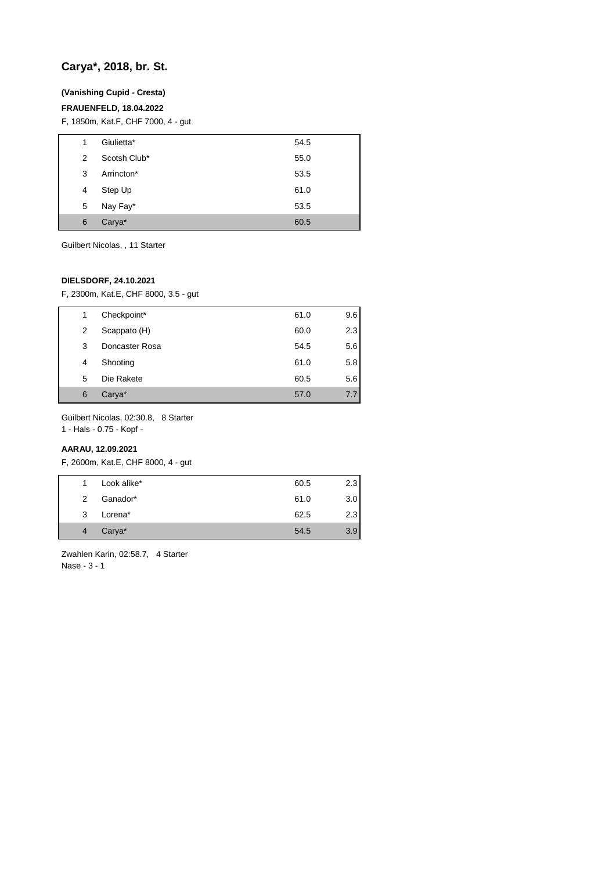# **Carya\*, 2018, br. St.**

## **(Vanishing Cupid - Cresta)**

## **FRAUENFELD, 18.04.2022**

F, 1850m, Kat.F, CHF 7000, 4 - gut

| 1 | Giulietta*   | 54.5 |
|---|--------------|------|
| 2 | Scotsh Club* | 55.0 |
| 3 | Arrincton*   | 53.5 |
| 4 | Step Up      | 61.0 |
| 5 | Nay Fay*     | 53.5 |
| 6 | Carya*       | 60.5 |

Guilbert Nicolas, , 11 Starter

## **DIELSDORF, 24.10.2021**

F, 2300m, Kat.E, CHF 8000, 3.5 - gut

| 1 | Checkpoint*    | 61.0 | 9.6 |
|---|----------------|------|-----|
| 2 | Scappato (H)   | 60.0 | 2.3 |
| 3 | Doncaster Rosa | 54.5 | 5.6 |
| 4 | Shooting       | 61.0 | 5.8 |
| 5 | Die Rakete     | 60.5 | 5.6 |
| 6 | Carya*         | 57.0 | 7.7 |

Guilbert Nicolas, 02:30.8, 8 Starter

1 - Hals - 0.75 - Kopf -

## **AARAU, 12.09.2021**

F, 2600m, Kat.E, CHF 8000, 4 - gut

| 1              | Look alike* | 60.5 | 2.3 |
|----------------|-------------|------|-----|
| $\mathcal{P}$  | Ganador*    | 61.0 | 3.0 |
| 3              | Lorena*     | 62.5 | 2.3 |
| $\overline{4}$ | Carya*      | 54.5 | 3.9 |

Zwahlen Karin, 02:58.7, 4 Starter Nase - 3 - 1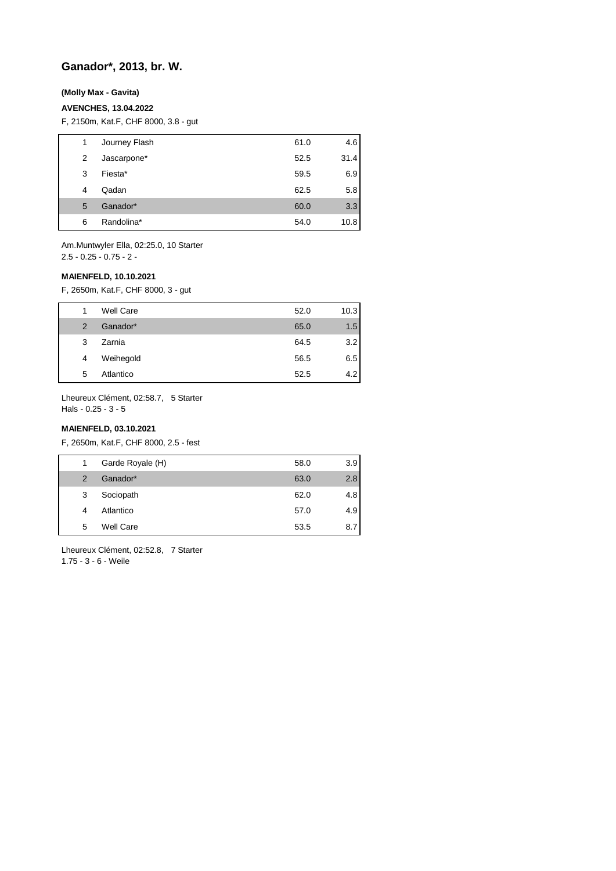# **Ganador\*, 2013, br. W.**

## **(Molly Max - Gavita)**

#### **AVENCHES, 13.04.2022**

F, 2150m, Kat.F, CHF 8000, 3.8 - gut

| 1 | Journey Flash | 61.0 | 4.6  |
|---|---------------|------|------|
| 2 | Jascarpone*   | 52.5 | 31.4 |
| 3 | Fiesta*       | 59.5 | 6.9  |
| 4 | Qadan         | 62.5 | 5.8  |
| 5 | Ganador*      | 60.0 | 3.3  |
| 6 | Randolina*    | 54.0 | 10.8 |

Am.Muntwyler Ella, 02:25.0, 10 Starter 2.5 - 0.25 - 0.75 - 2 -

#### **MAIENFELD, 10.10.2021**

F, 2650m, Kat.F, CHF 8000, 3 - gut

|   | <b>Well Care</b> | 52.0 | 10.3 |
|---|------------------|------|------|
| 2 | Ganador*         | 65.0 | 1.5  |
| 3 | Zarnia           | 64.5 | 3.2  |
| 4 | Weihegold        | 56.5 | 6.5  |
| 5 | Atlantico        | 52.5 | 4.2  |

Lheureux Clément, 02:58.7, 5 Starter Hals - 0.25 - 3 - 5

#### **MAIENFELD, 03.10.2021**

F, 2650m, Kat.F, CHF 8000, 2.5 - fest

| 1             | Garde Royale (H) | 58.0 | 3.9 |
|---------------|------------------|------|-----|
| $\mathcal{P}$ | Ganador*         | 63.0 | 2.8 |
| 3             | Sociopath        | 62.0 | 4.8 |
| 4             | Atlantico        | 57.0 | 4.9 |
| 5             | <b>Well Care</b> | 53.5 | 8.7 |

Lheureux Clément, 02:52.8, 7 Starter 1.75 - 3 - 6 - Weile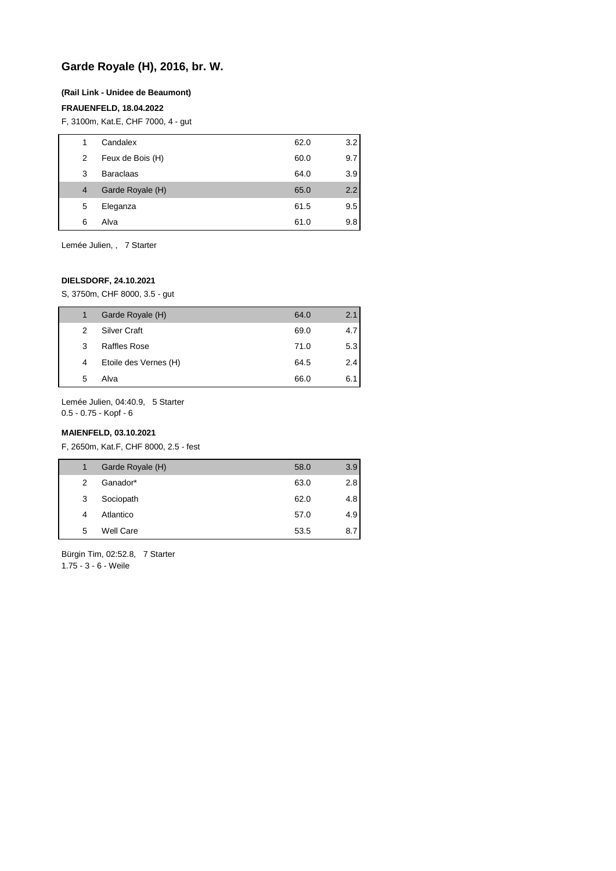# **Garde Royale (H), 2016, br. W.**

#### **(Rail Link - Unidee de Beaumont)**

#### **FRAUENFELD, 18.04.2022**

F, 3100m, Kat.E, CHF 7000, 4 - gut

| 1 | Candalex         | 62.0 | 3.2 |
|---|------------------|------|-----|
| 2 | Feux de Bois (H) | 60.0 | 9.7 |
| 3 | <b>Baraclaas</b> | 64.0 | 3.9 |
| 4 | Garde Royale (H) | 65.0 | 2.2 |
| 5 | Eleganza         | 61.5 | 9.5 |
| 6 | Alva             | 61.0 | 9.8 |

Lemée Julien, , 7 Starter

## **DIELSDORF, 24.10.2021**

S, 3750m, CHF 8000, 3.5 - gut

| 1             | Garde Royale (H)      | 64.0 | 2.1              |
|---------------|-----------------------|------|------------------|
| $\mathcal{P}$ | <b>Silver Craft</b>   | 69.0 | 4.7 <sub>1</sub> |
| 3             | <b>Raffles Rose</b>   | 71.0 | 5.3              |
| 4             | Etoile des Vernes (H) | 64.5 | 2.4              |
| 5             | Alva                  | 66.0 | 6.11             |
|               |                       |      |                  |

Lemée Julien, 04:40.9, 5 Starter 0.5 - 0.75 - Kopf - 6

#### **MAIENFELD, 03.10.2021**

F, 2650m, Kat.F, CHF 8000, 2.5 - fest

|   | Garde Royale (H) | 58.0 | 3.9 |
|---|------------------|------|-----|
| 2 | Ganador*         | 63.0 | 2.8 |
| 3 | Sociopath        | 62.0 | 4.8 |
| 4 | Atlantico        | 57.0 | 4.9 |
| 5 | <b>Well Care</b> | 53.5 | 8.7 |

Bürgin Tim, 02:52.8, 7 Starter 1.75 - 3 - 6 - Weile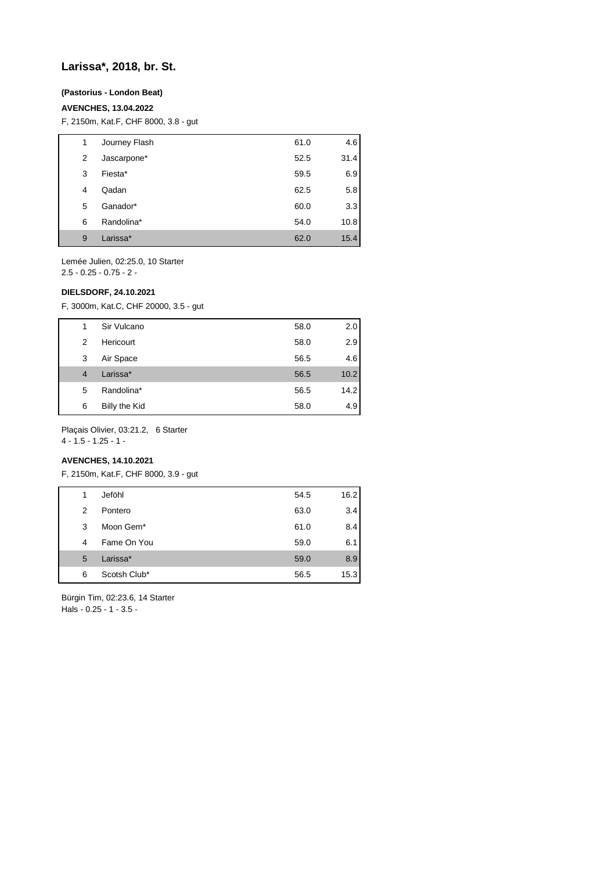## **Larissa\*, 2018, br. St.**

## **(Pastorius - London Beat)**

#### **AVENCHES, 13.04.2022**

F, 2150m, Kat.F, CHF 8000, 3.8 - gut

| 1 | Journey Flash | 61.0 | 4.6  |
|---|---------------|------|------|
| 2 | Jascarpone*   | 52.5 | 31.4 |
| 3 | Fiesta*       | 59.5 | 6.9  |
| 4 | Qadan         | 62.5 | 5.8  |
| 5 | Ganador*      | 60.0 | 3.3  |
| 6 | Randolina*    | 54.0 | 10.8 |
| 9 | Larissa*      | 62.0 | 15.4 |

Lemée Julien, 02:25.0, 10 Starter 2.5 - 0.25 - 0.75 - 2 -

#### **DIELSDORF, 24.10.2021**

F, 3000m, Kat.C, CHF 20000, 3.5 - gut

| 1              | Sir Vulcano   | 58.0 | 2.0  |
|----------------|---------------|------|------|
| 2              | Hericourt     | 58.0 | 2.9  |
| 3              | Air Space     | 56.5 | 4.6  |
| $\overline{4}$ | Larissa*      | 56.5 | 10.2 |
| 5              | Randolina*    | 56.5 | 14.2 |
| 6              | Billy the Kid | 58.0 | 4.9  |

Plaçais Olivier, 03:21.2, 6 Starter

4 - 1.5 - 1.25 - 1 -

## **AVENCHES, 14.10.2021**

F, 2150m, Kat.F, CHF 8000, 3.9 - gut

| 1 | Jeföhl       | 54.5 | 16.2 |
|---|--------------|------|------|
| 2 | Pontero      | 63.0 | 3.4  |
| 3 | Moon Gem*    | 61.0 | 8.4  |
| 4 | Fame On You  | 59.0 | 6.1  |
| 5 | Larissa*     | 59.0 | 8.9  |
| 6 | Scotsh Club* | 56.5 | 15.3 |
|   |              |      |      |

Bürgin Tim, 02:23.6, 14 Starter Hals - 0.25 - 1 - 3.5 -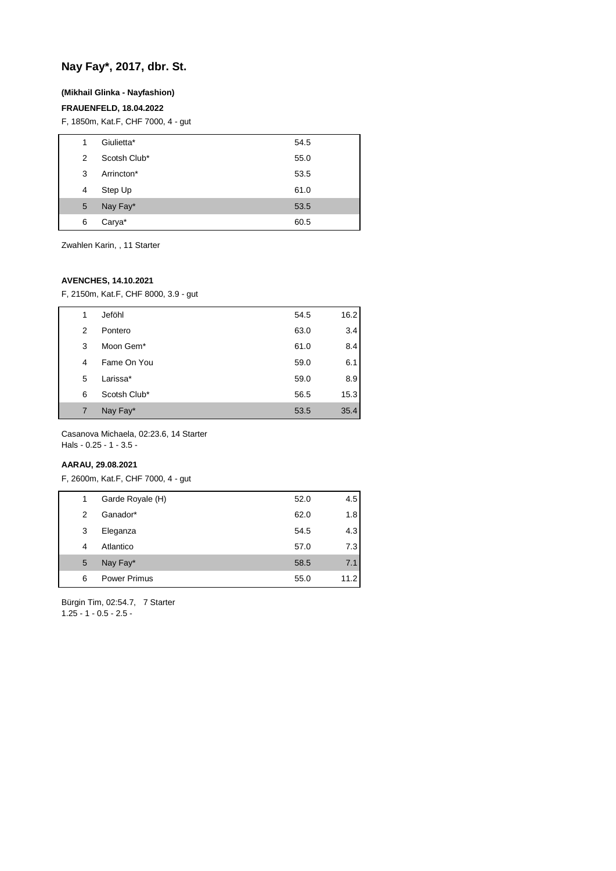# **Nay Fay\*, 2017, dbr. St.**

## **(Mikhail Glinka - Nayfashion)**

## **FRAUENFELD, 18.04.2022**

F, 1850m, Kat.F, CHF 7000, 4 - gut

| 1 | Giulietta*   | 54.5 |
|---|--------------|------|
| 2 | Scotsh Club* | 55.0 |
| 3 | Arrincton*   | 53.5 |
| 4 | Step Up      | 61.0 |
| 5 | Nay Fay*     | 53.5 |
| 6 | Carya*       | 60.5 |

Zwahlen Karin, , 11 Starter

## **AVENCHES, 14.10.2021**

F, 2150m, Kat.F, CHF 8000, 3.9 - gut

| 1 | Jeföhl       | 54.5 | 16.2 |
|---|--------------|------|------|
| 2 | Pontero      | 63.0 | 3.4  |
| 3 | Moon Gem*    | 61.0 | 8.4  |
| 4 | Fame On You  | 59.0 | 6.1  |
| 5 | Larissa*     | 59.0 | 8.9  |
| 6 | Scotsh Club* | 56.5 | 15.3 |
| 7 | Nay Fay*     | 53.5 | 35.4 |

Casanova Michaela, 02:23.6, 14 Starter Hals - 0.25 - 1 - 3.5 -

#### **AARAU, 29.08.2021**

F, 2600m, Kat.F, CHF 7000, 4 - gut

| 1 | Garde Royale (H)    | 52.0 | 4.5  |
|---|---------------------|------|------|
| 2 | Ganador*            | 62.0 | 1.8  |
| 3 | Eleganza            | 54.5 | 4.3  |
| 4 | Atlantico           | 57.0 | 7.3  |
| 5 | Nay Fay*            | 58.5 | 7.1  |
| 6 | <b>Power Primus</b> | 55.0 | 11.2 |
|   |                     |      |      |

Bürgin Tim, 02:54.7, 7 Starter 1.25 - 1 - 0.5 - 2.5 -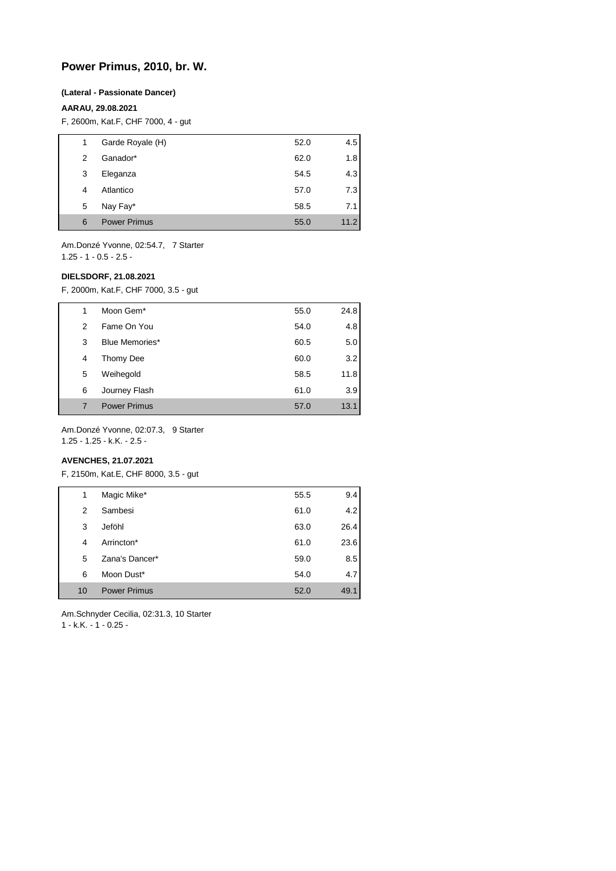# **Power Primus, 2010, br. W.**

#### **(Lateral - Passionate Dancer)**

#### **AARAU, 29.08.2021**

F, 2600m, Kat.F, CHF 7000, 4 - gut

| 1 | Garde Royale (H)    | 52.0 | 4.5  |
|---|---------------------|------|------|
| 2 | Ganador*            | 62.0 | 1.8  |
| 3 | Eleganza            | 54.5 | 4.3  |
| 4 | Atlantico           | 57.0 | 7.3  |
| 5 | Nay Fay*            | 58.5 | 7.1  |
| 6 | <b>Power Primus</b> | 55.0 | 11.2 |

Am.Donzé Yvonne, 02:54.7, 7 Starter 1.25 - 1 - 0.5 - 2.5 -

#### **DIELSDORF, 21.08.2021**

F, 2000m, Kat.F, CHF 7000, 3.5 - gut

| 1 | Moon Gem <sup>*</sup> | 55.0 | 24.8 |
|---|-----------------------|------|------|
| 2 | Fame On You           | 54.0 | 4.8  |
| 3 | <b>Blue Memories*</b> | 60.5 | 5.0  |
| 4 | Thomy Dee             | 60.0 | 3.2  |
| 5 | Weihegold             | 58.5 | 11.8 |
| 6 | Journey Flash         | 61.0 | 3.9  |
|   | <b>Power Primus</b>   | 57.0 | 13.1 |

Am.Donzé Yvonne, 02:07.3, 9 Starter 1.25 - 1.25 - k.K. - 2.5 -

#### **AVENCHES, 21.07.2021**

F, 2150m, Kat.E, CHF 8000, 3.5 - gut

| 1  | Magic Mike*         | 55.5 | 9.4  |
|----|---------------------|------|------|
| 2  | Sambesi             | 61.0 | 4.2  |
| 3  | Jeföhl              | 63.0 | 26.4 |
| 4  | Arrincton*          | 61.0 | 23.6 |
| 5  | Zana's Dancer*      | 59.0 | 8.5  |
| 6  | Moon Dust*          | 54.0 | 4.7  |
| 10 | <b>Power Primus</b> | 52.0 | 49.1 |

Am.Schnyder Cecilia, 02:31.3, 10 Starter 1 - k.K. - 1 - 0.25 -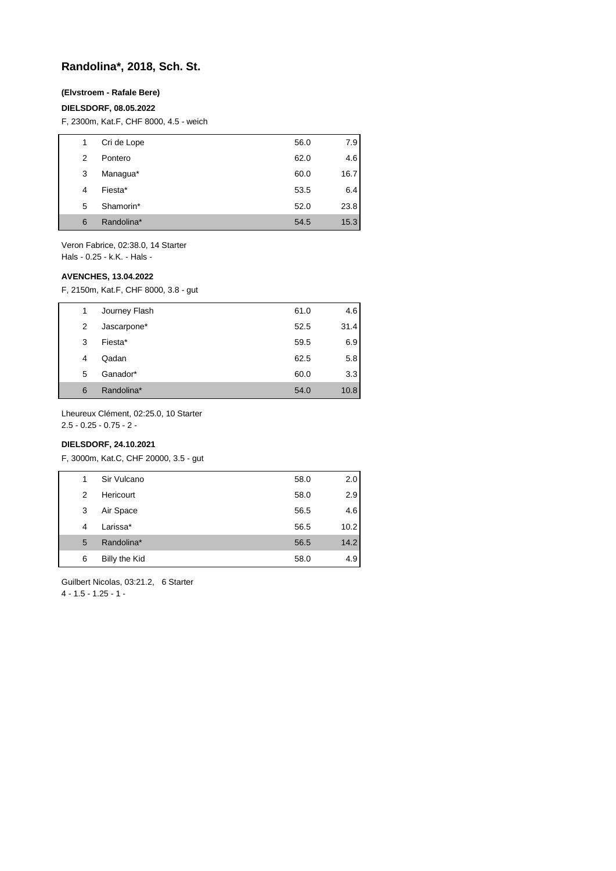# **Randolina\*, 2018, Sch. St.**

## **(Elvstroem - Rafale Bere)**

#### **DIELSDORF, 08.05.2022**

F, 2300m, Kat.F, CHF 8000, 4.5 - weich

| 1 | Cri de Lope | 56.0 | 7.9  |
|---|-------------|------|------|
| 2 | Pontero     | 62.0 | 4.6  |
| 3 | Managua*    | 60.0 | 16.7 |
| 4 | Fiesta*     | 53.5 | 6.4  |
| 5 | Shamorin*   | 52.0 | 23.8 |
| 6 | Randolina*  | 54.5 | 15.3 |

Veron Fabrice, 02:38.0, 14 Starter Hals - 0.25 - k.K. - Hals -

#### **AVENCHES, 13.04.2022**

F, 2150m, Kat.F, CHF 8000, 3.8 - gut

| 1 | Journey Flash | 61.0 | 4.6  |
|---|---------------|------|------|
| 2 | Jascarpone*   | 52.5 | 31.4 |
| 3 | Fiesta*       | 59.5 | 6.9  |
| 4 | Qadan         | 62.5 | 5.8  |
| 5 | Ganador*      | 60.0 | 3.3  |
| 6 | Randolina*    | 54.0 | 10.8 |

Lheureux Clément, 02:25.0, 10 Starter

2.5 - 0.25 - 0.75 - 2 -

## **DIELSDORF, 24.10.2021**

F, 3000m, Kat.C, CHF 20000, 3.5 - gut

| 1 | Sir Vulcano   | 58.0 | 2.0  |
|---|---------------|------|------|
| 2 | Hericourt     | 58.0 | 2.9  |
| 3 | Air Space     | 56.5 | 4.6  |
| 4 | Larissa*      | 56.5 | 10.2 |
| 5 | Randolina*    | 56.5 | 14.2 |
| 6 | Billy the Kid | 58.0 | 4.9  |

Guilbert Nicolas, 03:21.2, 6 Starter

4 - 1.5 - 1.25 - 1 -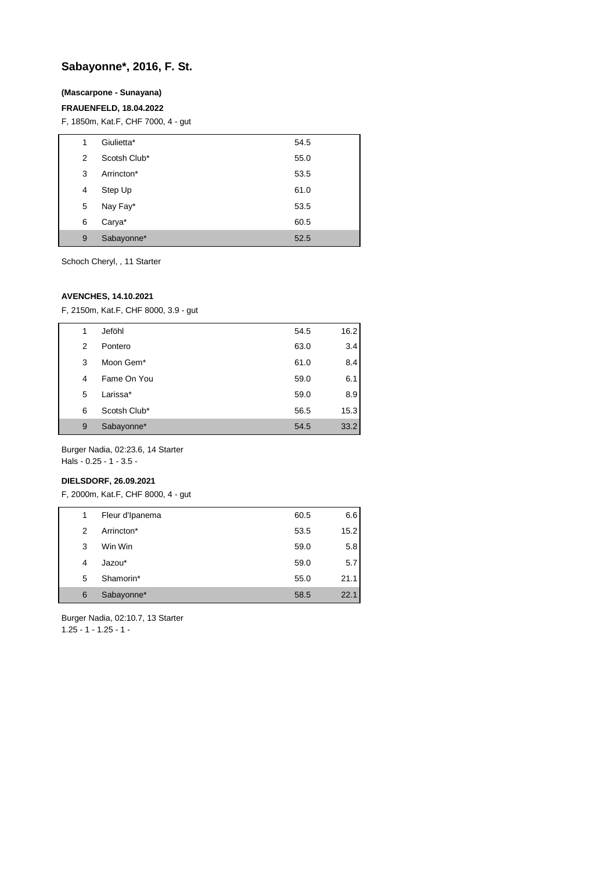# **Sabayonne\*, 2016, F. St.**

## **(Mascarpone - Sunayana)**

## **FRAUENFELD, 18.04.2022**

F, 1850m, Kat.F, CHF 7000, 4 - gut

| 1 | Giulietta*   | 54.5 |
|---|--------------|------|
| 2 | Scotsh Club* | 55.0 |
| 3 | Arrincton*   | 53.5 |
| 4 | Step Up      | 61.0 |
| 5 | Nay Fay*     | 53.5 |
| 6 | Carya*       | 60.5 |
| 9 | Sabayonne*   | 52.5 |

Schoch Cheryl, , 11 Starter

## **AVENCHES, 14.10.2021**

F, 2150m, Kat.F, CHF 8000, 3.9 - gut

| 1 | Jeföhl       | 54.5 | 16.2 |
|---|--------------|------|------|
| 2 | Pontero      | 63.0 | 3.4  |
| 3 | Moon Gem*    | 61.0 | 8.4  |
| 4 | Fame On You  | 59.0 | 6.1  |
| 5 | Larissa*     | 59.0 | 8.9  |
| 6 | Scotsh Club* | 56.5 | 15.3 |
| 9 | Sabayonne*   | 54.5 | 33.2 |
|   |              |      |      |

Burger Nadia, 02:23.6, 14 Starter Hals - 0.25 - 1 - 3.5 -

## **DIELSDORF, 26.09.2021**

F, 2000m, Kat.F, CHF 8000, 4 - gut

| 1 | Fleur d'Ipanema | 60.5 | 6.6  |
|---|-----------------|------|------|
| 2 | Arrincton*      | 53.5 | 15.2 |
| 3 | Win Win         | 59.0 | 5.8  |
| 4 | Jazou*          | 59.0 | 5.7  |
| 5 | Shamorin*       | 55.0 | 21.1 |
| 6 | Sabayonne*      | 58.5 | 22.1 |

Burger Nadia, 02:10.7, 13 Starter  $1.25 - 1 - 1.25 - 1$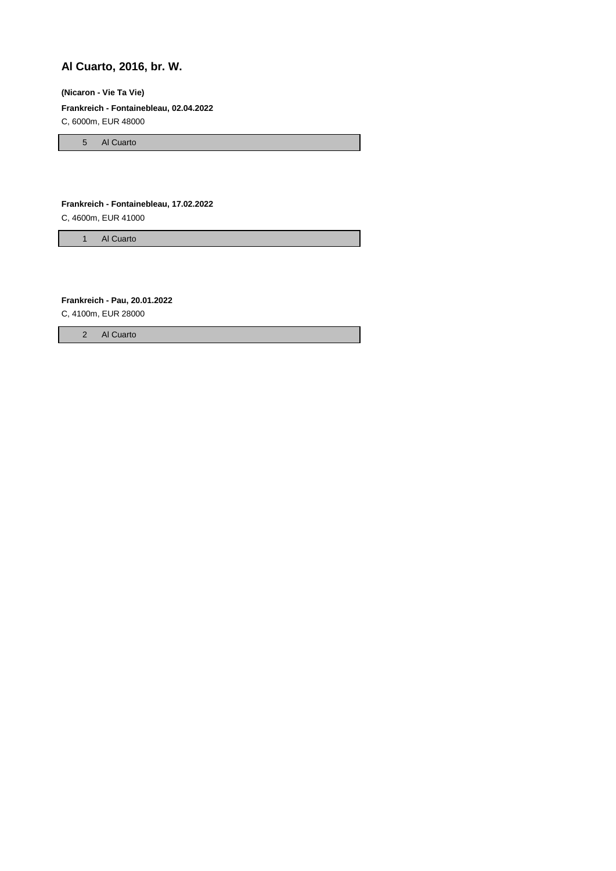# **Al Cuarto, 2016, br. W.**

## **(Nicaron - Vie Ta Vie)**

**Frankreich - Fontainebleau, 02.04.2022**

C, 6000m, EUR 48000

5 Al Cuarto

#### **Frankreich - Fontainebleau, 17.02.2022**

C, 4600m, EUR 41000

1 Al Cuarto

**Frankreich - Pau, 20.01.2022**

C, 4100m, EUR 28000

2 Al Cuarto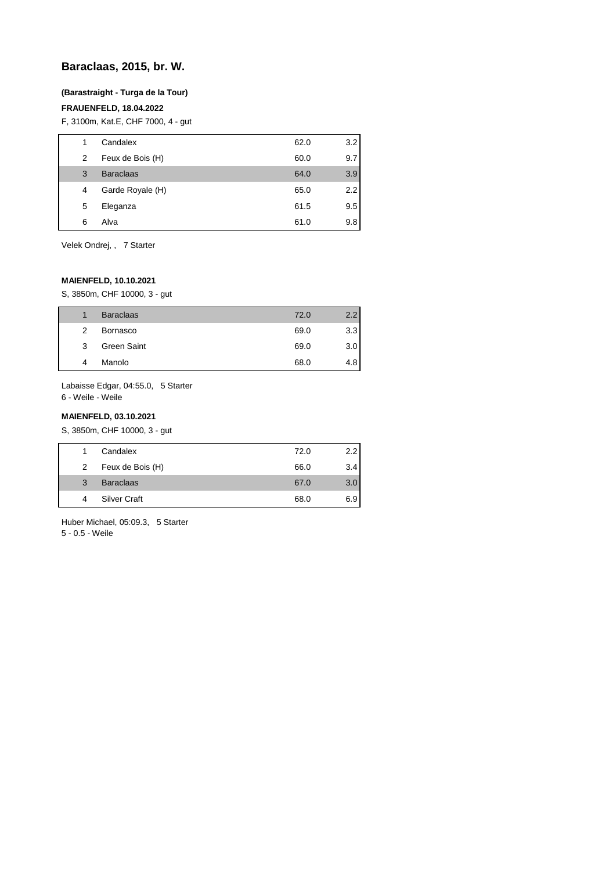# **Baraclaas, 2015, br. W.**

## **(Barastraight - Turga de la Tour)**

## **FRAUENFELD, 18.04.2022**

F, 3100m, Kat.E, CHF 7000, 4 - gut

| 1 | Candalex         | 62.0 | 3.2 |
|---|------------------|------|-----|
| 2 | Feux de Bois (H) | 60.0 | 9.7 |
| 3 | <b>Baraclaas</b> | 64.0 | 3.9 |
| 4 | Garde Royale (H) | 65.0 | 2.2 |
| 5 | Eleganza         | 61.5 | 9.5 |
| 6 | Alva             | 61.0 | 9.8 |

Velek Ondrej, , 7 Starter

## **MAIENFELD, 10.10.2021**

S, 3850m, CHF 10000, 3 - gut

|               | <b>Baraclaas</b> | 72.0 | $2.2^{\circ}$ |
|---------------|------------------|------|---------------|
| $\mathcal{P}$ | <b>Bornasco</b>  | 69.0 | 3.3           |
| 3             | Green Saint      | 69.0 | 3.0           |
|               | Manolo           | 68.0 | 4.8           |

Labaisse Edgar, 04:55.0, 5 Starter 6 - Weile - Weile

## **MAIENFELD, 03.10.2021**

S, 3850m, CHF 10000, 3 - gut

| Candalex<br>72.0                        | 2.2 |
|-----------------------------------------|-----|
| Feux de Bois (H)<br>66.0<br>$2^{\circ}$ | 3.4 |
| <b>Baraclaas</b><br>67.0<br>3           | 3.0 |
| <b>Silver Craft</b><br>68.0             | 6.9 |

Huber Michael, 05:09.3, 5 Starter 5 - 0.5 - Weile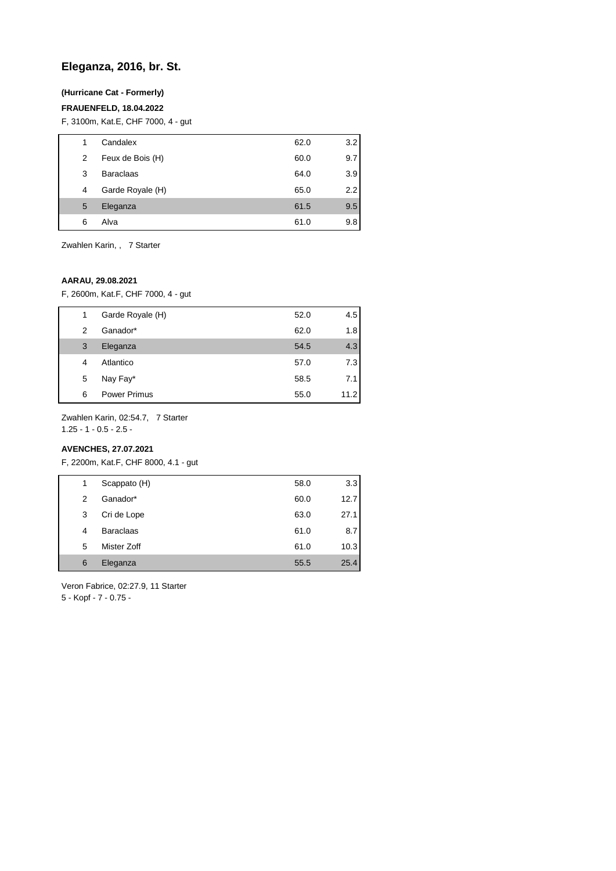# **Eleganza, 2016, br. St.**

## **(Hurricane Cat - Formerly)**

## **FRAUENFELD, 18.04.2022**

F, 3100m, Kat.E, CHF 7000, 4 - gut

| 1 | Candalex         | 62.0 | 3.2 |
|---|------------------|------|-----|
| 2 | Feux de Bois (H) | 60.0 | 9.7 |
| 3 | <b>Baraclaas</b> | 64.0 | 3.9 |
| 4 | Garde Royale (H) | 65.0 | 2.2 |
| 5 | Eleganza         | 61.5 | 9.5 |
| 6 | Alva             | 61.0 | 9.8 |

Zwahlen Karin, , 7 Starter

## **AARAU, 29.08.2021**

F, 2600m, Kat.F, CHF 7000, 4 - gut

| 1 | Garde Royale (H)    | 52.0 | 4.5  |
|---|---------------------|------|------|
| 2 | Ganador*            | 62.0 | 1.8  |
| 3 | Eleganza            | 54.5 | 4.3  |
| 4 | Atlantico           | 57.0 | 7.3  |
| 5 | Nay Fay*            | 58.5 | 7.1  |
| 6 | <b>Power Primus</b> | 55.0 | 11.2 |

Zwahlen Karin, 02:54.7, 7 Starter

1.25 - 1 - 0.5 - 2.5 -

## **AVENCHES, 27.07.2021**

F, 2200m, Kat.F, CHF 8000, 4.1 - gut

| 1 | Scappato (H)     | 58.0 | 3.3  |
|---|------------------|------|------|
| 2 | Ganador*         | 60.0 | 12.7 |
| 3 | Cri de Lope      | 63.0 | 27.1 |
| 4 | <b>Baraclaas</b> | 61.0 | 8.7  |
| 5 | Mister Zoff      | 61.0 | 10.3 |
| 6 | Eleganza         | 55.5 | 25.4 |

Veron Fabrice, 02:27.9, 11 Starter 5 - Kopf - 7 - 0.75 -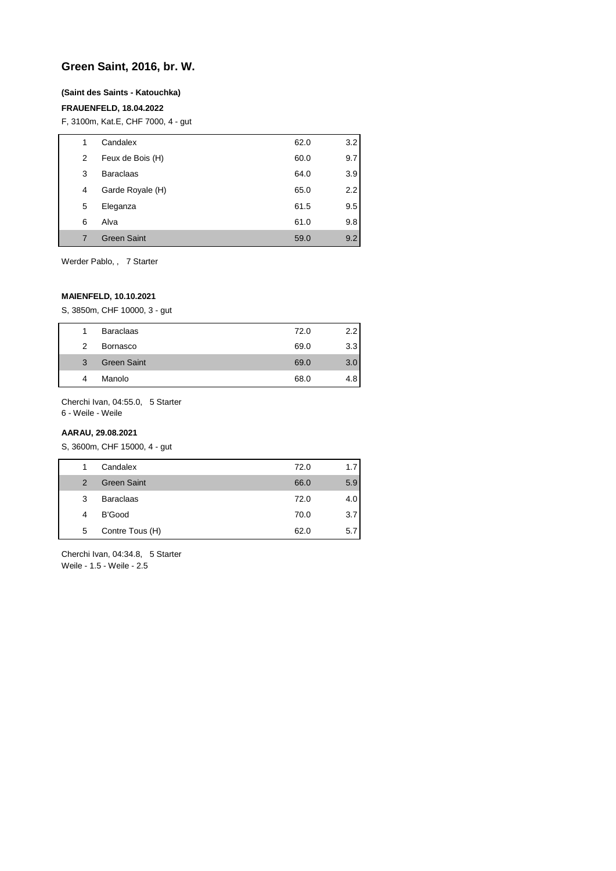## **Green Saint, 2016, br. W.**

#### **(Saint des Saints - Katouchka)**

## **FRAUENFELD, 18.04.2022**

F, 3100m, Kat.E, CHF 7000, 4 - gut

| 1 | Candalex           | 62.0 | 3.2 |
|---|--------------------|------|-----|
| 2 | Feux de Bois (H)   | 60.0 | 9.7 |
| 3 | <b>Baraclaas</b>   | 64.0 | 3.9 |
| 4 | Garde Royale (H)   | 65.0 | 2.2 |
| 5 | Eleganza           | 61.5 | 9.5 |
| 6 | Alva               | 61.0 | 9.8 |
| 7 | <b>Green Saint</b> | 59.0 | 9.2 |

Werder Pablo, , 7 Starter

## **MAIENFELD, 10.10.2021**

S, 3850m, CHF 10000, 3 - gut

| 1              | <b>Baraclaas</b>   | 72.0 | $2.2^{\circ}$ |
|----------------|--------------------|------|---------------|
| $\mathcal{P}$  | Bornasco           | 69.0 | 3.3           |
| $\overline{3}$ | <b>Green Saint</b> | 69.0 | 3.0           |
| 4              | Manolo             | 68.0 | 4.8           |

Cherchi Ivan, 04:55.0, 5 Starter 6 - Weile - Weile

#### **AARAU, 29.08.2021**

S, 3600m, CHF 15000, 4 - gut

| 1             | Candalex           | 72.0 | 1.7 |
|---------------|--------------------|------|-----|
| $\mathcal{P}$ | <b>Green Saint</b> | 66.0 | 5.9 |
| 3             | <b>Baraclaas</b>   | 72.0 | 4.0 |
| 4             | B'Good             | 70.0 | 3.7 |
| 5             | Contre Tous (H)    | 62.0 | 5.7 |

Cherchi Ivan, 04:34.8, 5 Starter Weile - 1.5 - Weile - 2.5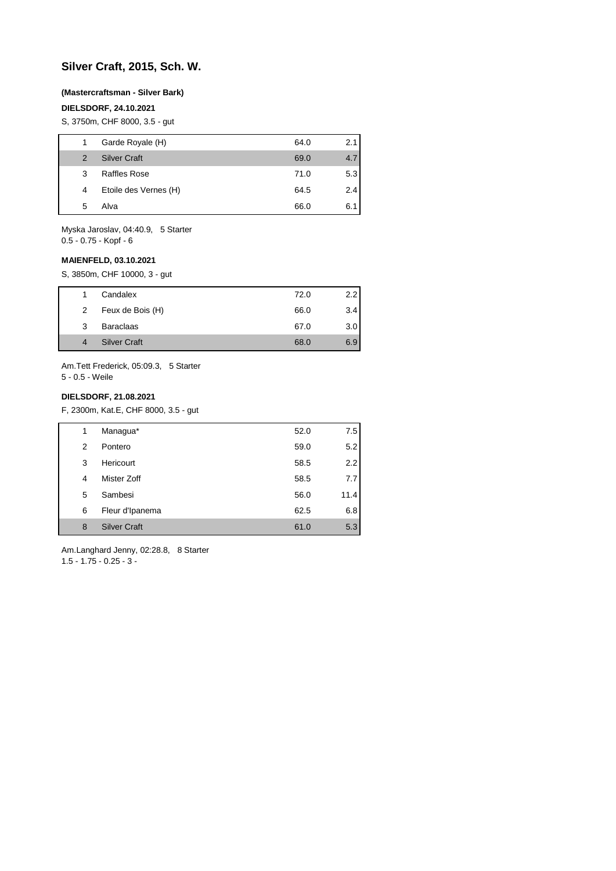# **Silver Craft, 2015, Sch. W.**

#### **(Mastercraftsman - Silver Bark)**

## **DIELSDORF, 24.10.2021**

S, 3750m, CHF 8000, 3.5 - gut

| 1             | Garde Royale (H)      | 64.0 | 2.1 |
|---------------|-----------------------|------|-----|
| $\mathcal{P}$ | <b>Silver Craft</b>   | 69.0 | 4.7 |
| 3             | Raffles Rose          | 71.0 | 5.3 |
| 4             | Etoile des Vernes (H) | 64.5 | 2.4 |
| 5             | Alva                  | 66.0 | 6.1 |
|               |                       |      |     |

Myska Jaroslav, 04:40.9, 5 Starter 0.5 - 0.75 - Kopf - 6

## **MAIENFELD, 03.10.2021**

S, 3850m, CHF 10000, 3 - gut

| 1. | Candalex            | 72.0 | 2.2 |
|----|---------------------|------|-----|
| 2  | Feux de Bois (H)    | 66.0 | 3.4 |
| 3  | <b>Baraclaas</b>    | 67.0 | 3.0 |
|    | <b>Silver Craft</b> | 68.0 | 6.9 |

Am.Tett Frederick, 05:09.3, 5 Starter 5 - 0.5 - Weile

## **DIELSDORF, 21.08.2021**

F, 2300m, Kat.E, CHF 8000, 3.5 - gut

| 1 | Managua*            | 52.0 | 7.5  |
|---|---------------------|------|------|
| 2 | Pontero             | 59.0 | 5.2  |
| 3 | Hericourt           | 58.5 | 2.2  |
| 4 | Mister Zoff         | 58.5 | 7.7  |
| 5 | Sambesi             | 56.0 | 11.4 |
| 6 | Fleur d'Ipanema     | 62.5 | 6.8  |
| 8 | <b>Silver Craft</b> | 61.0 | 5.3  |

Am.Langhard Jenny, 02:28.8, 8 Starter 1.5 - 1.75 - 0.25 - 3 -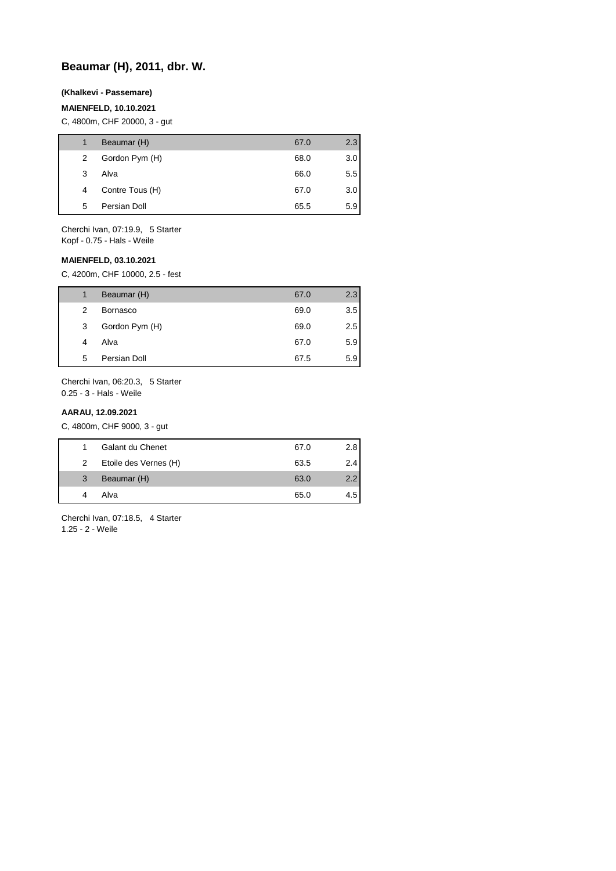# **Beaumar (H), 2011, dbr. W.**

#### **(Khalkevi - Passemare)**

## **MAIENFELD, 10.10.2021**

C, 4800m, CHF 20000, 3 - gut

| 1 | Beaumar (H)     | 67.0 | 2.3           |
|---|-----------------|------|---------------|
| 2 | Gordon Pym (H)  | 68.0 | 3.0           |
| 3 | Alva            | 66.0 | $5.5^{\circ}$ |
| 4 | Contre Tous (H) | 67.0 | 3.0           |
| 5 | Persian Doll    | 65.5 | 5.9           |
|   |                 |      |               |

Cherchi Ivan, 07:19.9, 5 Starter Kopf - 0.75 - Hals - Weile

### **MAIENFELD, 03.10.2021**

C, 4200m, CHF 10000, 2.5 - fest

| 1 | Beaumar (H)     | 67.0 | 2.3 |
|---|-----------------|------|-----|
| 2 | <b>Bornasco</b> | 69.0 | 3.5 |
| 3 | Gordon Pym (H)  | 69.0 | 2.5 |
| 4 | Alva            | 67.0 | 5.9 |
| 5 | Persian Doll    | 67.5 | 5.9 |

Cherchi Ivan, 06:20.3, 5 Starter 0.25 - 3 - Hals - Weile

## **AARAU, 12.09.2021**

C, 4800m, CHF 9000, 3 - gut

|   | Galant du Chenet      | 67.0 | 2.8 |
|---|-----------------------|------|-----|
| 2 | Etoile des Vernes (H) | 63.5 | 2.4 |
| 3 | Beaumar (H)           | 63.0 | 2.2 |
|   | Alva                  | 65.0 | 4.5 |

Cherchi Ivan, 07:18.5, 4 Starter 1.25 - 2 - Weile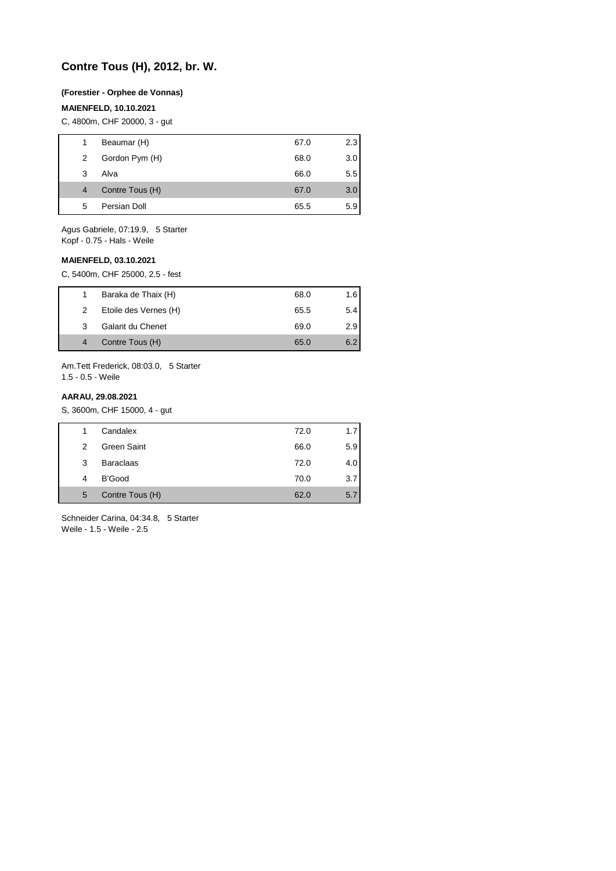# **Contre Tous (H), 2012, br. W.**

#### **(Forestier - Orphee de Vonnas)**

#### **MAIENFELD, 10.10.2021**

C, 4800m, CHF 20000, 3 - gut

| 1 | Beaumar (H)     | 67.0 | 2.3              |
|---|-----------------|------|------------------|
| 2 | Gordon Pym (H)  | 68.0 | 3.0              |
| 3 | Alva            | 66.0 | $5.5^{\circ}$    |
| 4 | Contre Tous (H) | 67.0 | 3.0 <sub>2</sub> |
| 5 | Persian Doll    | 65.5 | 5.9              |
|   |                 |      |                  |

Agus Gabriele, 07:19.9, 5 Starter Kopf - 0.75 - Hals - Weile

#### **MAIENFELD, 03.10.2021**

C, 5400m, CHF 25000, 2.5 - fest

|   | Baraka de Thaix (H)   | 68.0 | 1.6 |
|---|-----------------------|------|-----|
| 2 | Etoile des Vernes (H) | 65.5 | 5.4 |
| 3 | Galant du Chenet      | 69.0 | 2.9 |
|   | Contre Tous (H)       | 65.0 | 6.2 |
|   |                       |      |     |

Am.Tett Frederick, 08:03.0, 5 Starter 1.5 - 0.5 - Weile

#### **AARAU, 29.08.2021**

S, 3600m, CHF 15000, 4 - gut

|   | Candalex         | 72.0 | 1.7  |
|---|------------------|------|------|
| 2 | Green Saint      | 66.0 | 5.9  |
| 3 | <b>Baraclaas</b> | 72.0 | 4.01 |
| 4 | B'Good           | 70.0 | 3.7  |
| 5 | Contre Tous (H)  | 62.0 | 5.7  |

Schneider Carina, 04:34.8, 5 Starter Weile - 1.5 - Weile - 2.5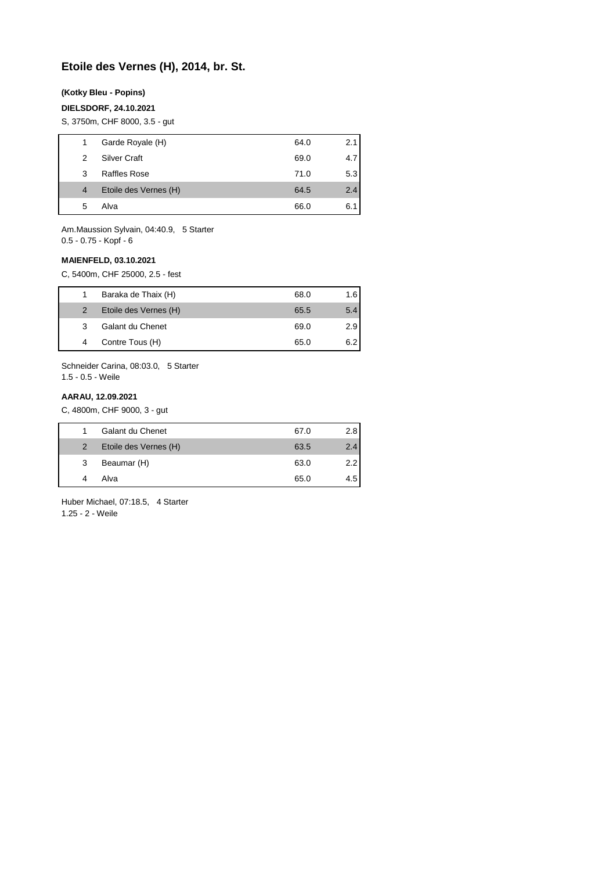# **Etoile des Vernes (H), 2014, br. St.**

#### **(Kotky Bleu - Popins)**

## **DIELSDORF, 24.10.2021**

S, 3750m, CHF 8000, 3.5 - gut

| 1.             | Garde Royale (H)      | 64.0 | 2.1 |
|----------------|-----------------------|------|-----|
| 2              | Silver Craft          | 69.0 | 4.7 |
| 3              | Raffles Rose          | 71.0 | 5.3 |
| $\overline{4}$ | Etoile des Vernes (H) | 64.5 | 2.4 |
| 5              | Alva                  | 66.0 | 6.1 |
|                |                       |      |     |

Am.Maussion Sylvain, 04:40.9, 5 Starter 0.5 - 0.75 - Kopf - 6

#### **MAIENFELD, 03.10.2021**

C, 5400m, CHF 25000, 2.5 - fest

|                | Baraka de Thaix (H)     | 68.0 | 1.6 |
|----------------|-------------------------|------|-----|
| $\overline{2}$ | Etoile des Vernes (H)   | 65.5 | 5.4 |
| 3              | <b>Galant du Chenet</b> | 69.0 | 2.9 |
|                | Contre Tous (H)         | 65.0 | 6.2 |
|                |                         |      |     |

Schneider Carina, 08:03.0, 5 Starter 1.5 - 0.5 - Weile

#### **AARAU, 12.09.2021**

C, 4800m, CHF 9000, 3 - gut

|                | Galant du Chenet      | 67.0 | 2.81 |
|----------------|-----------------------|------|------|
| $\overline{2}$ | Etoile des Vernes (H) | 63.5 | 2.4  |
| 3              | Beaumar (H)           | 63.0 | 2.21 |
|                | Alva                  | 65.0 | 4.51 |

Huber Michael, 07:18.5, 4 Starter 1.25 - 2 - Weile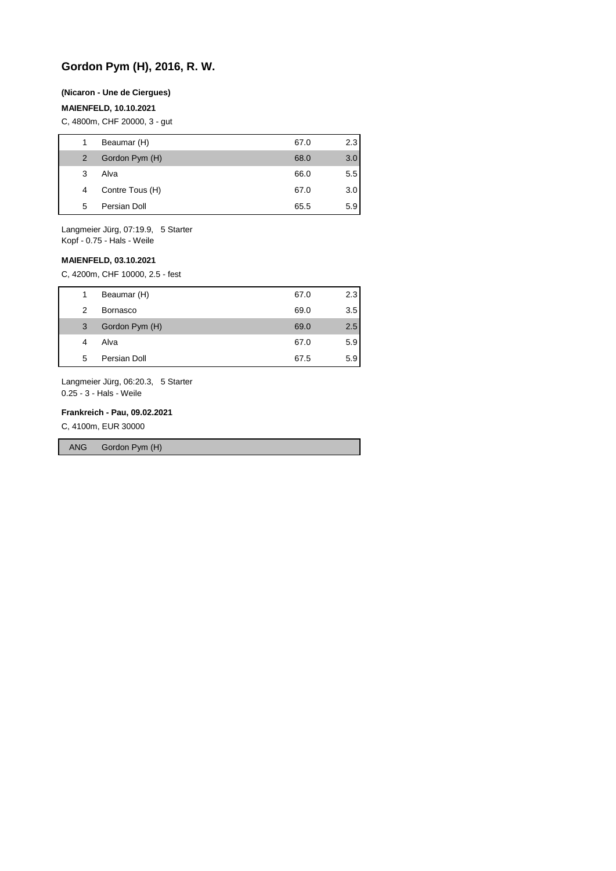# **Gordon Pym (H), 2016, R. W.**

#### **(Nicaron - Une de Ciergues)**

#### **MAIENFELD, 10.10.2021**

C, 4800m, CHF 20000, 3 - gut

|   | Beaumar (H)     | 67.0 | 2.3              |
|---|-----------------|------|------------------|
| 2 | Gordon Pym (H)  | 68.0 | 3.0 <sub>2</sub> |
| 3 | Alva            | 66.0 | $5.5^{\circ}$    |
| 4 | Contre Tous (H) | 67.0 | 3.0 <sub>2</sub> |
| 5 | Persian Doll    | 65.5 | 5.9              |
|   |                 |      |                  |

Langmeier Jürg, 07:19.9, 5 Starter Kopf - 0.75 - Hals - Weile

#### **MAIENFELD, 03.10.2021**

C, 4200m, CHF 10000, 2.5 - fest

| 67.0<br>Beaumar (H)<br>1     | 2.3 |
|------------------------------|-----|
| 69.0<br><b>Bornasco</b><br>2 | 3.5 |
| Gordon Pym (H)<br>69.0<br>3  | 2.5 |
| 67.0<br>Alva<br>4            | 5.9 |
| Persian Doll<br>67.5<br>5    | 5.9 |

Langmeier Jürg, 06:20.3, 5 Starter 0.25 - 3 - Hals - Weile

#### **Frankreich - Pau, 09.02.2021**

C, 4100m, EUR 30000

ANG Gordon Pym (H)